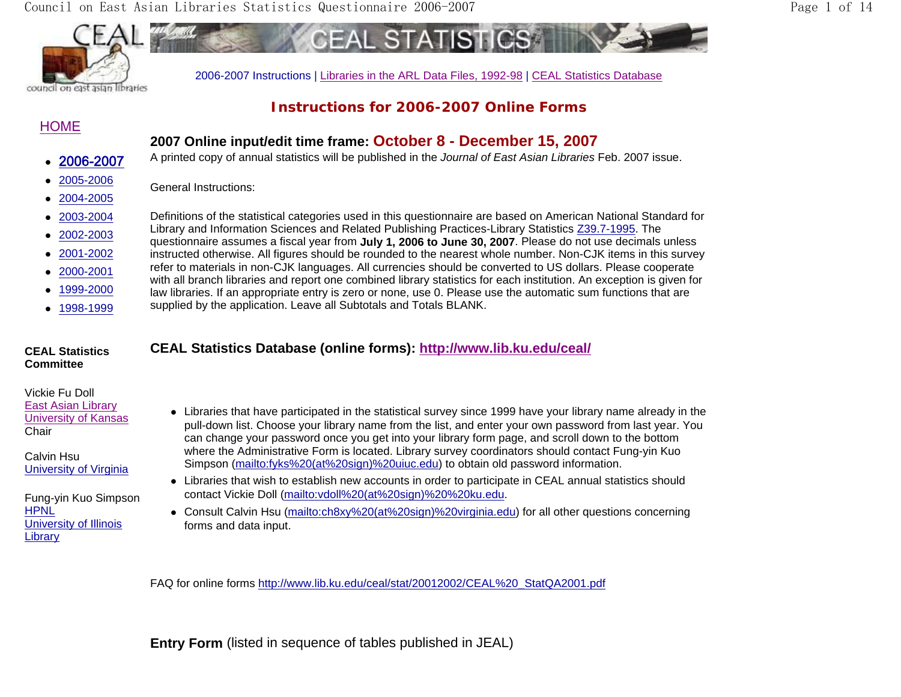Council on East Asian Libraries Statistics Questionnaire 2006-2007 Page 1 of 14



council on east asian libraries

# **Instructions for 2006-2007 Online Forms**

# HOME

# **2007 Online input/edit time frame: October 8 - December 15, 2007**

o 2006-2007

- o 2005-2006
- 2004-2005
- 
- o
- o
- o 2002-2003
- o 2001-2002
- o 2000-2001
- 
- $\bullet$ 1999-2000
- $\bullet$ 1998-1999

### **CEAL Statistics Committee**

# Vickie Fu DollEast Asian Library

University of Kansas **Chair** 

Calvin Hsu University of Virginia

Fung-yin Kuo Simpson HPNL University of Illinois **Library** 

- A printed copy of annual statistics will be published in the *Journal of East Asian Libraries* Feb. 2007 issue.
- General Instructions:
- 2003-2004 Definitions of the statistical categories used in this questionnaire are based on American National Standard for Library and Information Sciences and Related Publishing Practices-Library Statistics Z39.7-1995. The questionnaire assumes a fiscal year from **July 1, 2006 to June 30, 2007**. Please do not use decimals unless
	- instructed otherwise. All figures should be rounded to the nearest whole number. Non-CJK items in this survey
	- refer to materials in non-CJK languages. All currencies should be converted to US dollars. Please cooperate with all branch libraries and report one combined library statistics for each institution. An exception is given for law libraries. If an appropriate entry is zero or none, use 0. Please use the automatic sum functions that are
	- supplied by the application. Leave all Subtotals and Totals BLANK.

# **CEAL Statistics Database (online forms): http://www.lib.ku.edu/ceal/**

- Libraries that have participated in the statistical survey since 1999 have your library name already in the pull-down list. Choose your library name from the list, and enter your own password from last year. You can change your password once you get into your library form page, and scroll down to the bottom where the Administrative Form is located. Library survey coordinators should contact Fung-yin Kuo Simpson (mailto:fyks%20(at%20sign)%20uiuc.edu) to obtain old password information.
- Libraries that wish to establish new accounts in order to participate in CEAL annual statistics should contact Vickie Doll (mailto:vdoll%20(at%20sign)%20%20ku.edu.
- Consult Calvin Hsu (mailto:ch8xy%20(at%20sign)%20virginia.edu) for all other questions concerning forms and data input.

FAQ for online forms http://www.lib.ku.edu/ceal/stat/20012002/CEAL%20\_StatQA2001.pdf

**Entry Form** (listed in sequence of tables published in JEAL)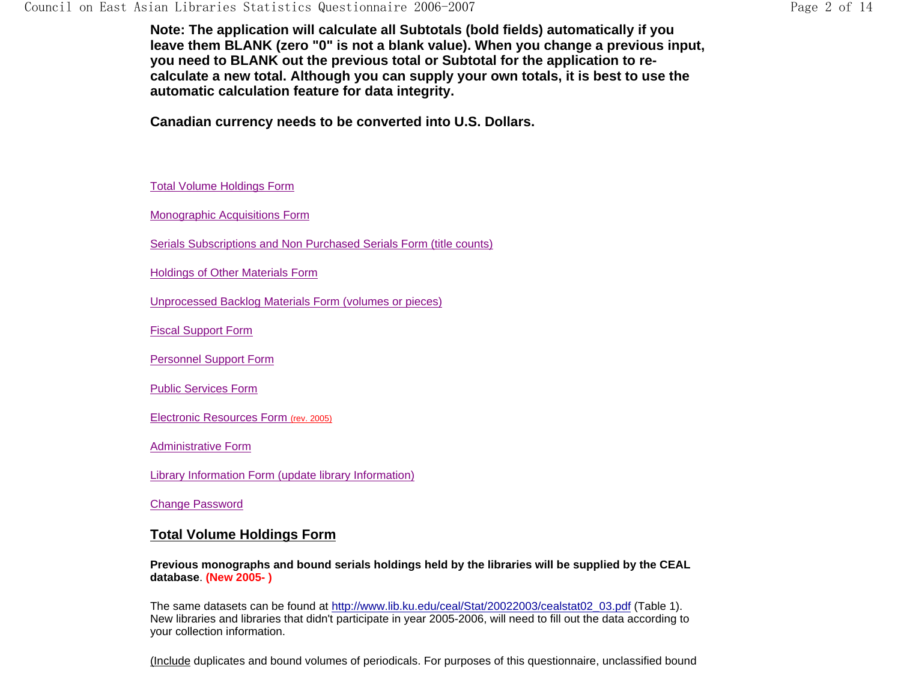**Note: The application will calculate all Subtotals (bold fields) automatically if you leave them BLANK (zero "0" is not a blank value). When you change a previous input, you need to BLANK out the previous total or Subtotal for the application to recalculate a new total. Although you can supply your own totals, it is best to use the automatic calculation feature for data integrity.** 

**Canadian currency needs to be converted into U.S. Dollars.** 

Total Volume Holdings Form

Monographic Acquisitions Form

Serials Subscriptions and Non Purchased Serials Form (title counts)

Holdings of Other Materials Form

Unprocessed Backlog Materials Form (volumes or pieces)

Fiscal Support Form

Personnel Support Form

Public Services Form

Electronic Resources Form (rev. 2005)

Administrative Form

Library Information Form (update library Information)

Change Password

### **Total Volume Holdings Form**

**Previous monographs and bound serials holdings held by the libraries will be supplied by the CEAL database**. **(New 2005- )**

The same datasets can be found at http://www.lib.ku.edu/ceal/Stat/20022003/cealstat02\_03.pdf (Table 1). New libraries and libraries that didn't participate in year 2005-2006, will need to fill out the data according to your collection information.

(Include duplicates and bound volumes of periodicals. For purposes of this questionnaire, unclassified bound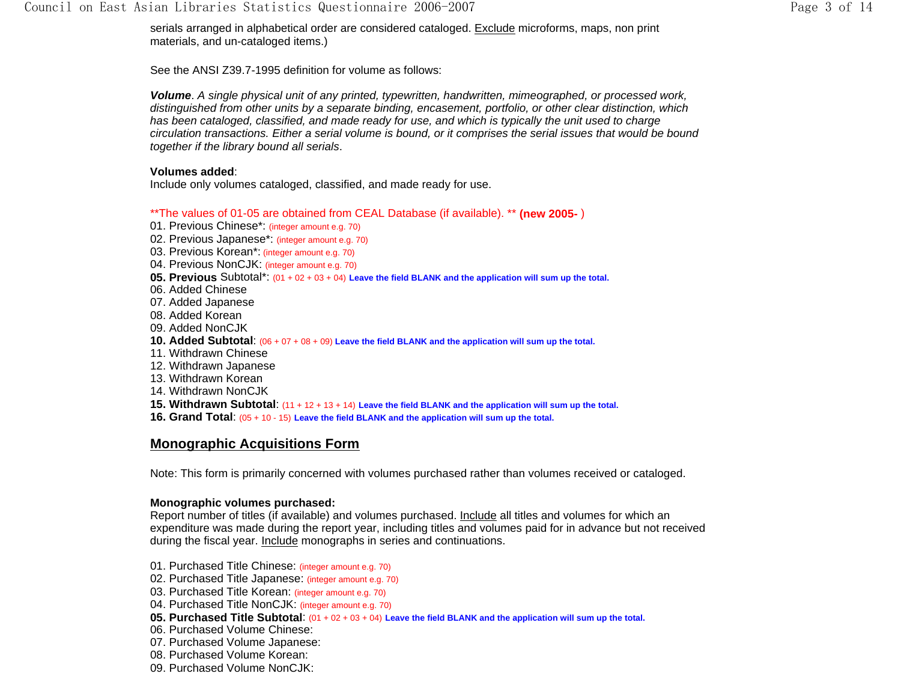serials arranged in alphabetical order are considered cataloged. Exclude microforms, maps, non print materials, and un-cataloged items.)

See the ANSI Z39.7-1995 definition for volume as follows:

*Volume*. *A single physical unit of any printed, typewritten, handwritten, mimeographed, or processed work, distinguished from other units by a separate binding, encasement, portfolio, or other clear distinction, which*  has been cataloged, classified, and made ready for use, and which is typically the unit used to charge *circulation transactions. Either a serial volume is bound, or it comprises the serial issues that would be bound together if the library bound all serials*.

#### **Volumes added**:

Include only volumes cataloged, classified, and made ready for use.

\*\*The values of 01-05 are obtained from CEAL Database (if available). \*\* **(new 2005-** )

- 01. Previous Chinese\*: (integer amount e.g. 70)
- 02. Previous Japanese\*: (integer amount e.g. 70)
- 03. Previous Korean\*: (integer amount e.g. 70)
- 04. Previous NonCJK: (integer amount e.g. 70)
- **05. Previous** Subtotal\*: (01 + 02 + 03 + 04) **Leave the field BLANK and the application will sum up the total.**
- 06. Added Chinese
- 07. Added Japanese
- 08. Added Korean
- 09. Added NonCJK
- **10. Added Subtotal**: (06 + 07 + 08 + 09) **Leave the field BLANK and the application will sum up the total.**
- 11. Withdrawn Chinese
- 12. Withdrawn Japanese
- 13. Withdrawn Korean
- 14. Withdrawn NonCJK
- **15. Withdrawn Subtotal**: (11 + 12 + 13 + 14) **Leave the field BLANK and the application will sum up the total.**
- **16. Grand Total**: (05 + 10 15) **Leave the field BLANK and the application will sum up the total.**

# **Monographic Acquisitions Form**

Note: This form is primarily concerned with volumes purchased rather than volumes received or cataloged.

#### **Monographic volumes purchased:**

Report number of titles (if available) and volumes purchased. Include all titles and volumes for which an expenditure was made during the report year, including titles and volumes paid for in advance but not received during the fiscal year. Include monographs in series and continuations.

- 01. Purchased Title Chinese: (integer amount e.g. 70)
- 02. Purchased Title Japanese: (integer amount e.g. 70)
- 03. Purchased Title Korean: (integer amount e.g. 70)
- 04. Purchased Title NonCJK: (integer amount e.g. 70)
- **05. Purchased Title Subtotal**: (01 + 02 + 03 + 04) **Leave the field BLANK and the application will sum up the total.**
- 06. Purchased Volume Chinese:
- 07. Purchased Volume Japanese:
- 08. Purchased Volume Korean:
- 09. Purchased Volume NonCJK: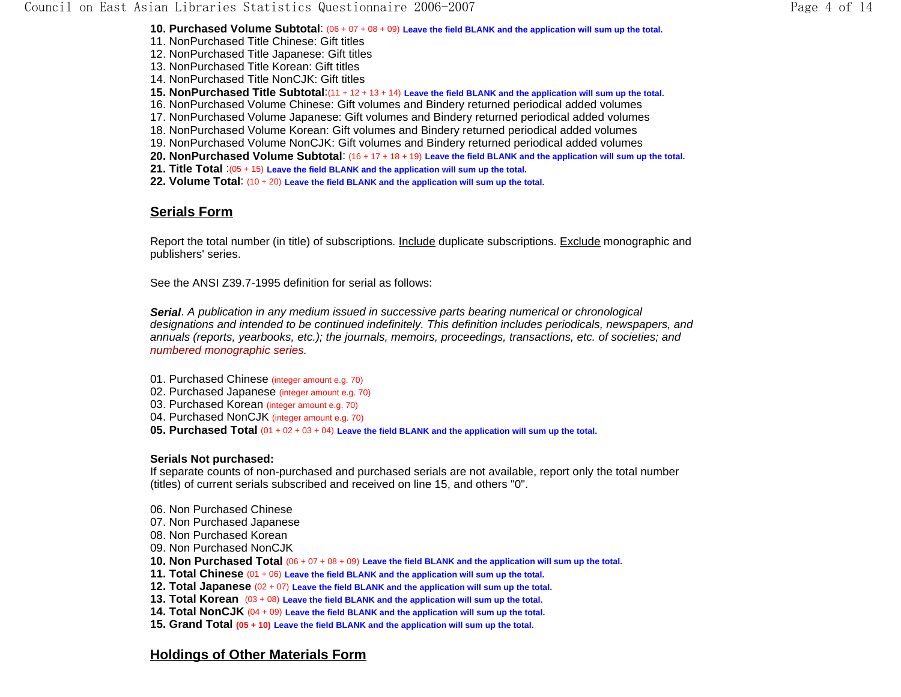**10. Purchased Volume Subtotal**: (06 + 07 + 08 + 09) **Leave the field BLANK and the application will sum up the total.** 11. NonPurchased Title Chinese: Gift titles 12. NonPurchased Title Japanese: Gift titles 13. NonPurchased Title Korean: Gift titles14. NonPurchased Title NonCJK: Gift titles **15. NonPurchased Title Subtotal**:(11 + 12 + 13 + 14) **Leave the field BLANK and the application will sum up the total.** 16. NonPurchased Volume Chinese: Gift volumes and Bindery returned periodical added volumes 17. NonPurchased Volume Japanese: Gift volumes and Bindery returned periodical added volumes 18. NonPurchased Volume Korean: Gift volumes and Bindery returned periodical added volumes 19. NonPurchased Volume NonCJK: Gift volumes and Bindery returned periodical added volumes **20. NonPurchased Volume Subtotal**: (16 + 17 + 18 + 19) **Leave the field BLANK and the application will sum up the total. 21. Title Total** :(05 + 15) **Leave the field BLANK and the application will sum up the total. 22. Volume Total**: (10 + 20) **Leave the field BLANK and the application will sum up the total.**

## **Serials Form**

Report the total number (in title) of subscriptions. Include duplicate subscriptions. Exclude monographic and publishers' series.

See the ANSI Z39.7-1995 definition for serial as follows:

*Serial*. *A publication in any medium issued in successive parts bearing numerical or chronological designations and intended to be continued indefinitely. This definition includes periodicals, newspapers, and annuals (reports, yearbooks, etc.); the journals, memoirs, proceedings, transactions, etc. of societies; and numbered monographic series.*

- 01. Purchased Chinese (integer amount e.g. 70)
- 02. Purchased Japanese (integer amount e.g. 70)
- 03. Purchased Korean (integer amount e.g. 70)
- 04. Purchased NonCJK (integer amount e.g. 70)
- **05. Purchased Total** (01 + 02 + 03 + 04) **Leave the field BLANK and the application will sum up the total.**

#### **Serials Not purchased:**

If separate counts of non-purchased and purchased serials are not available, report only the total number (titles) of current serials subscribed and received on line 15, and others "0".

- 06. Non Purchased Chinese
- 07. Non Purchased Japanese
- 08. Non Purchased Korean
- 09. Non Purchased NonCJK
- **10. Non Purchased Total** (06 + 07 + 08 + 09) **Leave the field BLANK and the application will sum up the total.**
- **11. Total Chinese** (01 + 06) **Leave the field BLANK and the application will sum up the total.**
- **12. Total Japanese** (02 + 07) **Leave the field BLANK and the application will sum up the total.**
- **13. Total Korean** (03 + 08) **Leave the field BLANK and the application will sum up the total.**
- **14. Total NonCJK** (04 + 09) **Leave the field BLANK and the application will sum up the total.**
- **15. Grand Total (05 + 10) Leave the field BLANK and the application will sum up the total.**

## **Holdings of Other Materials Form**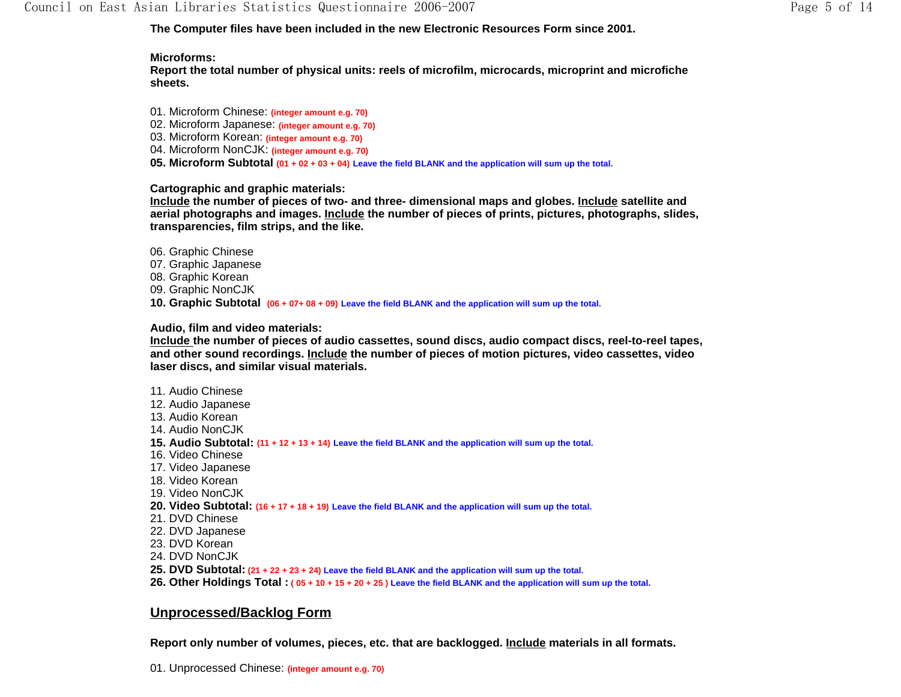**The Computer files have been included in the new Electronic Resources Form since 2001.**

### **Microforms:**

**Report the total number of physical units: reels of microfilm, microcards, microprint and microfiche sheets.**

01. Microform Chinese: **(integer amount e.g. 70)** 02. Microform Japanese: **(integer amount e.g. 70)** 03. Microform Korean: **(integer amount e.g. 70)** 04. Microform NonCJK: **(integer amount e.g. 70) 05. Microform Subtotal (01 + 02 + 03 + 04) Leave the field BLANK and the application will sum up the total.**

**Cartographic and graphic materials:** 

**Include the number of pieces of two- and three- dimensional maps and globes. Include satellite and aerial photographs and images. Include the number of pieces of prints, pictures, photographs, slides, transparencies, film strips, and the like.** 

- 06. Graphic Chinese
- 07. Graphic Japanese
- 08. Graphic Korean
- 09. Graphic NonCJK

**10. Graphic Subtotal (06 + 07+ 08 + 09) Leave the field BLANK and the application will sum up the total.**

**Audio, film and video materials:** 

**Include the number of pieces of audio cassettes, sound discs, audio compact discs, reel-to-reel tapes, and other sound recordings. Include the number of pieces of motion pictures, video cassettes, video laser discs, and similar visual materials.** 

11. Audio Chinese 12. Audio Japanese 13. Audio Korean 14. Audio NonCJK **15. Audio Subtotal: (11 + 12 + 13 + 14) Leave the field BLANK and the application will sum up the total.** 16. Video Chinese 17. Video Japanese 18. Video Korean 19. Video NonCJK **20. Video Subtotal: (16 + 17 + 18 + 19) Leave the field BLANK and the application will sum up the total.** 21. DVD Chinese 22. DVD Japanese 23. DVD Korean 24. DVD NonCJK**25. DVD Subtotal: (21 + 22 + 23 + 24) Leave the field BLANK and the application will sum up the total. 26. Other Holdings Total : ( 05 + 10 + 15 + 20 + 25 ) Leave the field BLANK and the application will sum up the total.** 

# **Unprocessed/Backlog Form**

**Report only number of volumes, pieces, etc. that are backlogged. Include materials in all formats.**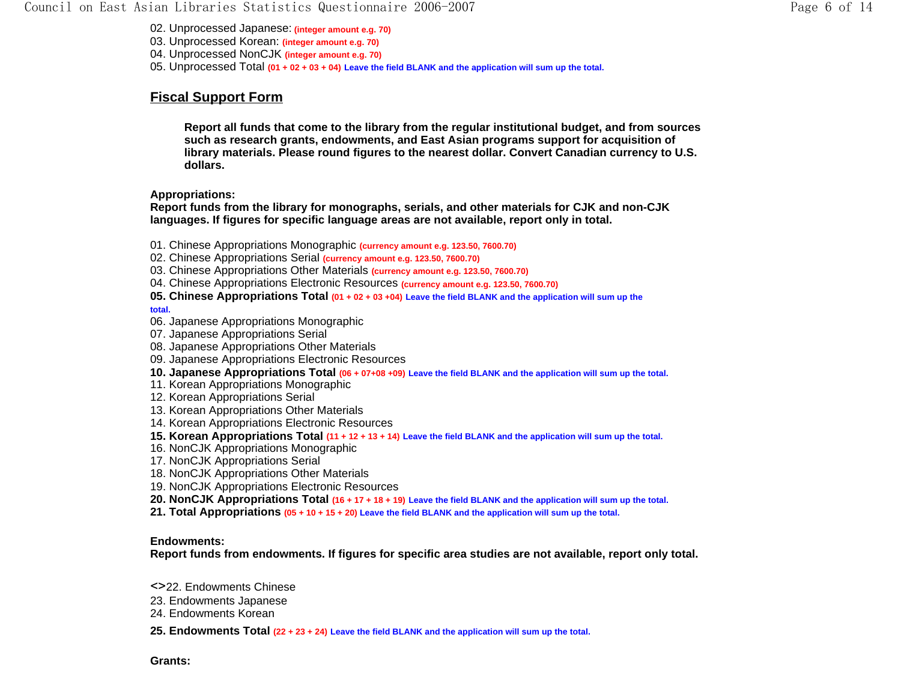#### Council on East Asian Libraries Statistics Questionnaire 2006-2007 Page 6 of 14

02. Unprocessed Japanese: **(integer amount e.g. 70)**

03. Unprocessed Korean: **(integer amount e.g. 70)**

04. Unprocessed NonCJK **(integer amount e.g. 70)**

05. Unprocessed Total **(01 + 02 + 03 + 04) Leave the field BLANK and the application will sum up the total.**

# **Fiscal Support Form**

**Report all funds that come to the library from the regular institutional budget, and from sources such as research grants, endowments, and East Asian programs support for acquisition of library materials. Please round figures to the nearest dollar. Convert Canadian currency to U.S. dollars.**

**Appropriations:** 

**Report funds from the library for monographs, serials, and other materials for CJK and non-CJK languages. If figures for specific language areas are not available, report only in total.** 

- 01. Chinese Appropriations Monographic **(currency amount e.g. 123.50, 7600.70)**
- 02. Chinese Appropriations Serial **(currency amount e.g. 123.50, 7600.70)**
- 03. Chinese Appropriations Other Materials **(currency amount e.g. 123.50, 7600.70)**
- 04. Chinese Appropriations Electronic Resources **(currency amount e.g. 123.50, 7600.70)**

**05. Chinese Appropriations Total (01 + 02 + 03 +04) Leave the field BLANK and the application will sum up the** 

**total.**

- 06. Japanese Appropriations Monographic
- 07. Japanese Appropriations Serial
- 08. Japanese Appropriations Other Materials
- 09. Japanese Appropriations Electronic Resources
- **10. Japanese Appropriations Total (06 + 07+08 +09) Leave the field BLANK and the application will sum up the total.**
- 11. Korean Appropriations Monographic
- 12. Korean Appropriations Serial
- 13. Korean Appropriations Other Materials
- 14. Korean Appropriations Electronic Resources
- **15. Korean Appropriations Total (11 + 12 + 13 + 14) Leave the field BLANK and the application will sum up the total.**
- 16. NonCJK Appropriations Monographic
- 17. NonCJK Appropriations Serial
- 18. NonCJK Appropriations Other Materials
- 19. NonCJK Appropriations Electronic Resources
- **20. NonCJK Appropriations Total (16 + 17 + 18 + 19) Leave the field BLANK and the application will sum up the total.**
- **21. Total Appropriations (05 + 10 + 15 + 20) Leave the field BLANK and the application will sum up the total.**

#### **Endowments:**

**Report funds from endowments. If figures for specific area studies are not available, report only total.**

- <>22. Endowments Chinese
- 23. Endowments Japanese
- 24. Endowments Korean
- **25. Endowments Total (22 + 23 + 24) Leave the field BLANK and the application will sum up the total.**

**Grants:**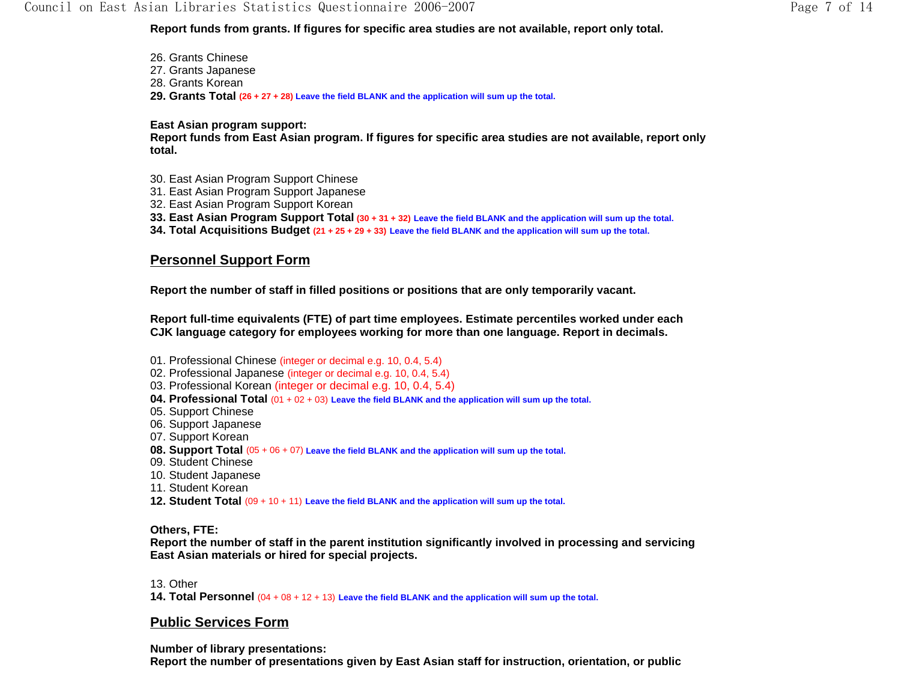**Report funds from grants. If figures for specific area studies are not available, report only total.** 

26. Grants Chinese 27. Grants Japanese 28. Grants Korean **29. Grants Total (26 + 27 + 28) Leave the field BLANK and the application will sum up the total.**

**East Asian program support:** 

**Report funds from East Asian program. If figures for specific area studies are not available, report only total.** 

- 30. East Asian Program Support Chinese
- 31. East Asian Program Support Japanese
- 32. East Asian Program Support Korean
- **33. East Asian Program Support Total (30 + 31 + 32) Leave the field BLANK and the application will sum up the total.**
- **34. Total Acquisitions Budget (21 + 25 + 29 + 33) Leave the field BLANK and the application will sum up the total.**

## **Personnel Support Form**

**Report the number of staff in filled positions or positions that are only temporarily vacant.** 

**Report full-time equivalents (FTE) of part time employees. Estimate percentiles worked under each CJK language category for employees working for more than one language. Report in decimals.**

- 01. Professional Chinese (integer or decimal e.g. 10, 0.4, 5.4)
- 02. Professional Japanese (integer or decimal e.g. 10, 0.4, 5.4)
- 03. Professional Korean (integer or decimal e.g. 10, 0.4, 5.4)
- **04. Professional Total** (01 + 02 + 03) **Leave the field BLANK and the application will sum up the total.**
- 05. Support Chinese
- 06. Support Japanese
- 07. Support Korean
- **08. Support Total** (05 + 06 + 07) **Leave the field BLANK and the application will sum up the total.**
- 09. Student Chinese
- 10. Student Japanese
- 11. Student Korean
- **12. Student Total** (09 + 10 + 11) **Leave the field BLANK and the application will sum up the total.**

**Others, FTE:** 

**Report the number of staff in the parent institution significantly involved in processing and servicing East Asian materials or hired for special projects.** 

13. Other

**14. Total Personnel** (04 + 08 + 12 + 13) **Leave the field BLANK and the application will sum up the total.**

### **Public Services Form**

**Number of library presentations:** 

**Report the number of presentations given by East Asian staff for instruction, orientation, or public**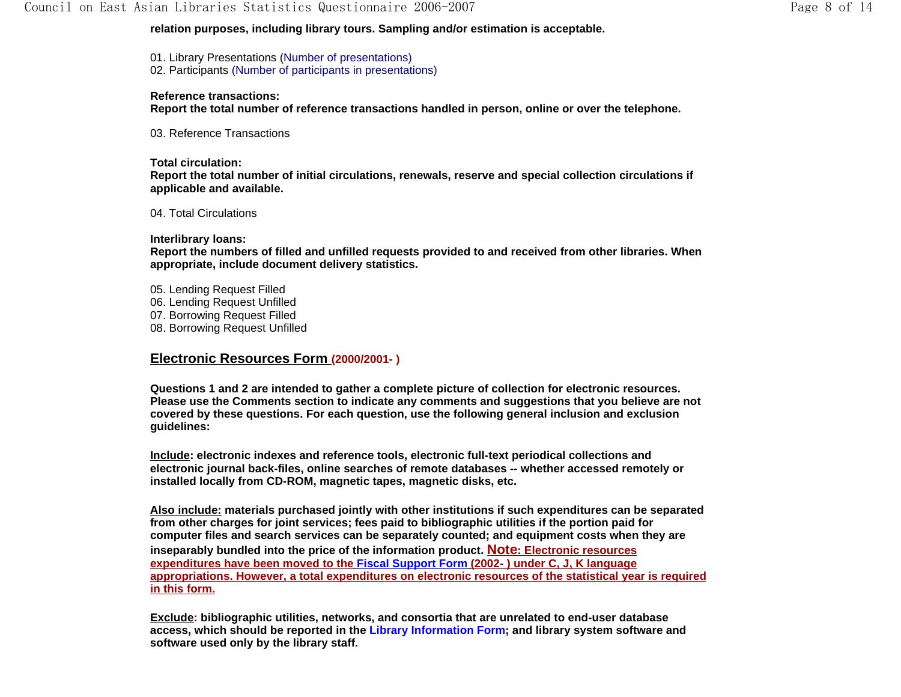01. Library Presentations (Number of presentations) 02. Participants (Number of participants in presentations)

#### **Reference transactions:**

**Report the total number of reference transactions handled in person, online or over the telephone.** 

03. Reference Transactions

**Total circulation: Report the total number of initial circulations, renewals, reserve and special collection circulations if applicable and available.** 

04. Total Circulations

#### **Interlibrary loans:**

**Report the numbers of filled and unfilled requests provided to and received from other libraries. When appropriate, include document delivery statistics.** 

05. Lending Request Filled 06. Lending Request Unfilled 07. Borrowing Request Filled 08. Borrowing Request Unfilled

## **Electronic Resources Form (2000/2001- )**

**Questions 1 and 2 are intended to gather a complete picture of collection for electronic resources. Please use the Comments section to indicate any comments and suggestions that you believe are not covered by these questions. For each question, use the following general inclusion and exclusion guidelines:** 

**Include: electronic indexes and reference tools, electronic full-text periodical collections and electronic journal back-files, online searches of remote databases -- whether accessed remotely or installed locally from CD-ROM, magnetic tapes, magnetic disks, etc.** 

**Also include: materials purchased jointly with other institutions if such expenditures can be separated from other charges for joint services; fees paid to bibliographic utilities if the portion paid for computer files and search services can be separately counted; and equipment costs when they are inseparably bundled into the price of the information product. Note: Electronic resources expenditures have been moved to the Fiscal Support Form (2002- ) under C, J, K language appropriations. However, a total expenditures on electronic resources of the statistical year is required in this form.**

**Exclude: bibliographic utilities, networks, and consortia that are unrelated to end-user database access, which should be reported in the Library Information Form; and library system software and software used only by the library staff.**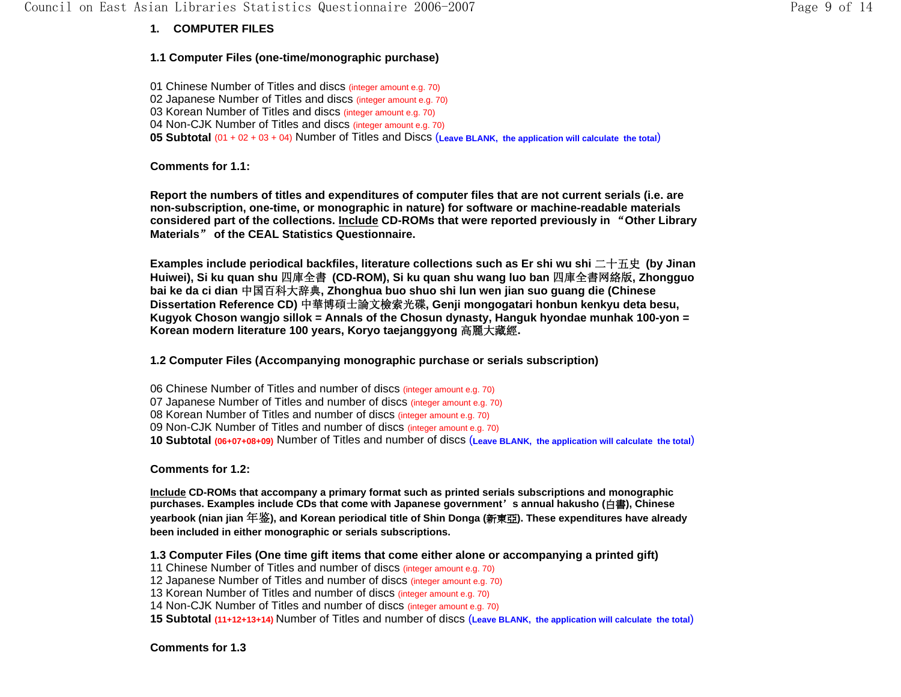# **1. COMPUTER FILES**

## **1.1 Computer Files (one-time/monographic purchase)**

01 Chinese Number of Titles and discs (integer amount e.g. 70) 02 Japanese Number of Titles and discs (integer amount e.g. 70) 03 Korean Number of Titles and discs (integer amount e.g. 70) 04 Non-CJK Number of Titles and discs (integer amount e.g. 70) **05 Subtotal** (01 + 02 + 03 + 04) Number of Titles and Discs (**Leave BLANK, the application will calculate the total**)

**Comments for 1.1:**

**Report the numbers of titles and expenditures of computer files that are not current serials (i.e. are non-subscription, one-time, or monographic in nature) for software or machine-readable materials considered part of the collections. Include CD-ROMs that were reported previously in** "**Other Library Materials**" **of the CEAL Statistics Questionnaire.** 

**Examples include periodical backfiles, literature collections such as Er shi wu shi** 二十五史 **(by Jinan Huiwei), Si ku quan shu** 四庫全書 **(CD-ROM), Si ku quan shu wang luo ban** 四庫全書网絡版**, Zhongguo bai ke da ci dian** 中国百科大辞典**, Zhonghua buo shuo shi lun wen jian suo guang die (Chinese Dissertation Reference CD)** 中華博碩士論文檢索光碟**, Genji mongogatari honbun kenkyu deta besu, Kugyok Choson wangjo sillok = Annals of the Chosun dynasty, Hanguk hyondae munhak 100-yon = Korean modern literature 100 years, Koryo taejanggyong** 高麗大藏經**.**

**1.2 Computer Files (Accompanying monographic purchase or serials subscription)** 

06 Chinese Number of Titles and number of discs (integer amount e.g. 70) 07 Japanese Number of Titles and number of discs (integer amount e.g. 70) 08 Korean Number of Titles and number of discs (integer amount e.g. 70) 09 Non-CJK Number of Titles and number of discs (integer amount e.g. 70) **10 Subtotal (06+07+08+09)** Number of Titles and number of discs (**Leave BLANK, the application will calculate the total**)

**Comments for 1.2:**

**Include CD-ROMs that accompany a primary format such as printed serials subscriptions and monographic purchases. Examples include CDs that come with Japanese government**'**s annual hakusho (**白書**), Chinese yearbook (nian jian** 年鉴**), and Korean periodical title of Shin Donga (**新東亞**). These expenditures have already been included in either monographic or serials subscriptions.** 

**1.3 Computer Files (One time gift items that come either alone or accompanying a printed gift)** 

11 Chinese Number of Titles and number of discs (integer amount e.g. 70)

12 Japanese Number of Titles and number of discs (integer amount e.g. 70)

13 Korean Number of Titles and number of discs (integer amount e.g. 70)

14 Non-CJK Number of Titles and number of discs (integer amount e.g. 70)

**15 Subtotal (11+12+13+14)** Number of Titles and number of discs (**Leave BLANK, the application will calculate the total**)

**Comments for 1.3**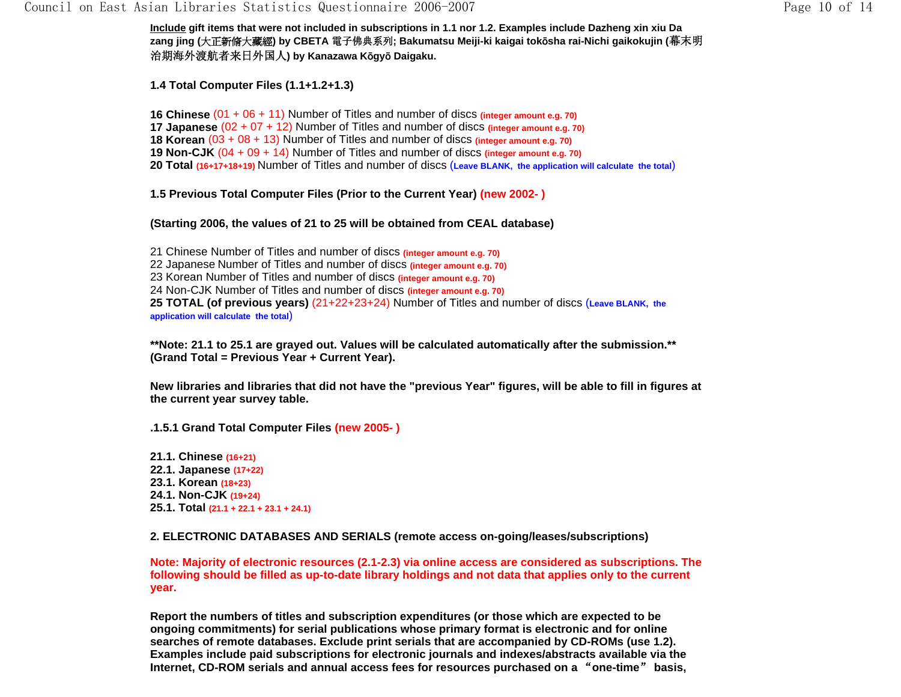**Include gift items that were not included in subscriptions in 1.1 nor 1.2. Examples include Dazheng xin xiu Da zang jing (**大正新脩大藏經**) by CBETA** 電子佛典系列**; Bakumatsu Meiji-ki kaigai tok**ō**sha rai-Nichi gaikokujin (**幕末明 治期海外渡航者来日外国人**) by Kanazawa K**ō**gy**ō **Daigaku.**

**1.4 Total Computer Files (1.1+1.2+1.3)**

**16 Chinese** (01 + 06 + 11) Number of Titles and number of discs **(integer amount e.g. 70) 17 Japanese** (02 + 07 + 12) Number of Titles and number of discs **(integer amount e.g. 70) 18 Korean** (03 + 08 + 13) Number of Titles and number of discs **(integer amount e.g. 70) 19 Non-CJK** (04 + 09 + 14) Number of Titles and number of discs **(integer amount e.g. 70) 20 Total (16+17+18+19)** Number of Titles and number of discs (**Leave BLANK, the application will calculate the total**)

**1.5 Previous Total Computer Files (Prior to the Current Year) (new 2002- )** 

#### **(Starting 2006, the values of 21 to 25 will be obtained from CEAL database)**

21 Chinese Number of Titles and number of discs **(integer amount e.g. 70)** 22 Japanese Number of Titles and number of discs **(integer amount e.g. 70)** 23 Korean Number of Titles and number of discs **(integer amount e.g. 70)** 24 Non-CJK Number of Titles and number of discs **(integer amount e.g. 70) 25 TOTAL (of previous years)** (21+22+23+24) Number of Titles and number of discs (**Leave BLANK, the application will calculate the total**)

**\*\*Note: 21.1 to 25.1 are grayed out. Values will be calculated automatically after the submission.\*\* (Grand Total = Previous Year + Current Year).** 

**New libraries and libraries that did not have the "previous Year" figures, will be able to fill in figures at the current year survey table.** 

**.1.5.1 Grand Total Computer Files (new 2005- )** 

- **21.1. Chinese (16+21)**
- **22.1. Japanese (17+22)**
- **23.1. Korean (18+23)**
- **24.1. Non-CJK (19+24)**
- **25.1. Total (21.1 + 22.1 + 23.1 + 24.1)**

**2. ELECTRONIC DATABASES AND SERIALS (remote access on-going/leases/subscriptions)** 

**Note: Majority of electronic resources (2.1-2.3) via online access are considered as subscriptions. The following should be filled as up-to-date library holdings and not data that applies only to the current year.**

**Report the numbers of titles and subscription expenditures (or those which are expected to be ongoing commitments) for serial publications whose primary format is electronic and for online searches of remote databases. Exclude print serials that are accompanied by CD-ROMs (use 1.2). Examples include paid subscriptions for electronic journals and indexes/abstracts available via the Internet, CD-ROM serials and annual access fees for resources purchased on a** "**one-time**" **basis,**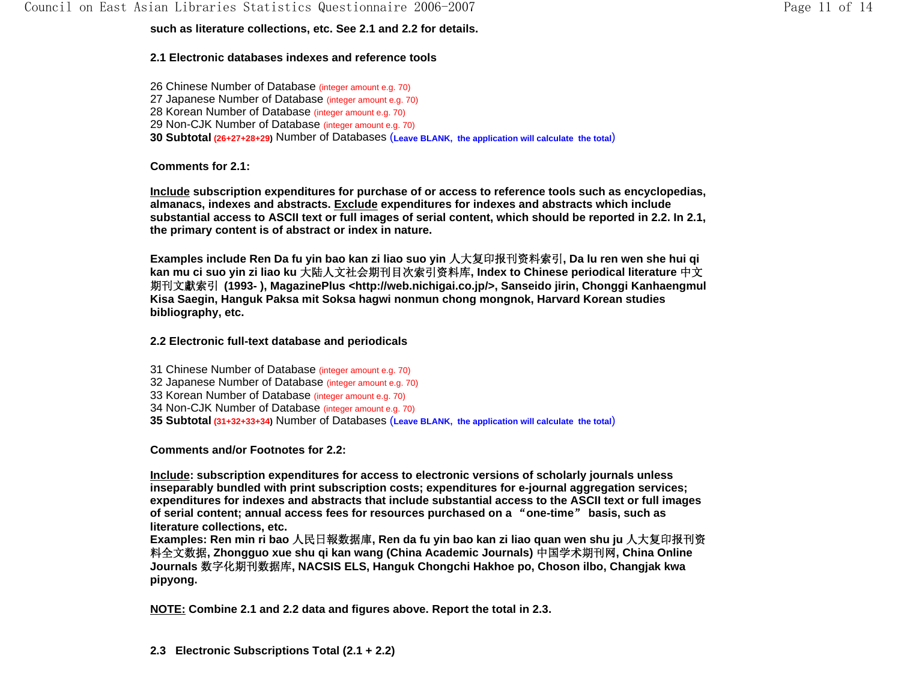### **such as literature collections, etc. See 2.1 and 2.2 for details.**

## **2.1 Electronic databases indexes and reference tools**

26 Chinese Number of Database (integer amount e.g. 70) 27 Japanese Number of Database (integer amount e.g. 70) 28 Korean Number of Database (integer amount e.g. 70) 29 Non-CJK Number of Database (integer amount e.g. 70) **30 Subtotal (26+27+28+29)** Number of Databases (**Leave BLANK, the application will calculate the total**)

**Comments for 2.1:** 

**Include subscription expenditures for purchase of or access to reference tools such as encyclopedias, almanacs, indexes and abstracts. Exclude expenditures for indexes and abstracts which include substantial access to ASCII text or full images of serial content, which should be reported in 2.2. In 2.1, the primary content is of abstract or index in nature.** 

**Examples include Ren Da fu yin bao kan zi liao suo yin** 人大复印报刊资料索引**, Da lu ren wen she hui qi kan mu ci suo yin zi liao ku** 大陆人文社会期刊目次索引资料库**, Index to Chinese periodical literature** 中文 期刊文獻索引 **(1993- ), MagazinePlus <http://web.nichigai.co.jp/>, Sanseido jirin, Chonggi Kanhaengmul Kisa Saegin, Hanguk Paksa mit Soksa hagwi nonmun chong mongnok, Harvard Korean studies bibliography, etc.**

**2.2 Electronic full-text database and periodicals** 

31 Chinese Number of Database (integer amount e.g. 70) 32 Japanese Number of Database (integer amount e.g. 70) 33 Korean Number of Database (integer amount e.g. 70) 34 Non-CJK Number of Database (integer amount e.g. 70) **35 Subtotal (31+32+33+34)** Number of Databases (**Leave BLANK, the application will calculate the total**)

**Comments and/or Footnotes for 2.2:** 

**Include: subscription expenditures for access to electronic versions of scholarly journals unless inseparably bundled with print subscription costs; expenditures for e-journal aggregation services; expenditures for indexes and abstracts that include substantial access to the ASCII text or full images of serial content; annual access fees for resources purchased on a** "**one-time**" **basis, such as literature collections, etc.** 

**Examples: Ren min ri bao** 人民日報数据庫**, Ren da fu yin bao kan zi liao quan wen shu ju** 人大复印报刊资 料全文数据**, Zhongguo xue shu qi kan wang (China Academic Journals)** 中国学术期刊网**, China Online Journals** 数字化期刊数据库**, NACSIS ELS, Hanguk Chongchi Hakhoe po, Choson ilbo, Changjak kwa pipyong.** 

**NOTE: Combine 2.1 and 2.2 data and figures above. Report the total in 2.3.** 

**2.3 Electronic Subscriptions Total (2.1 + 2.2)**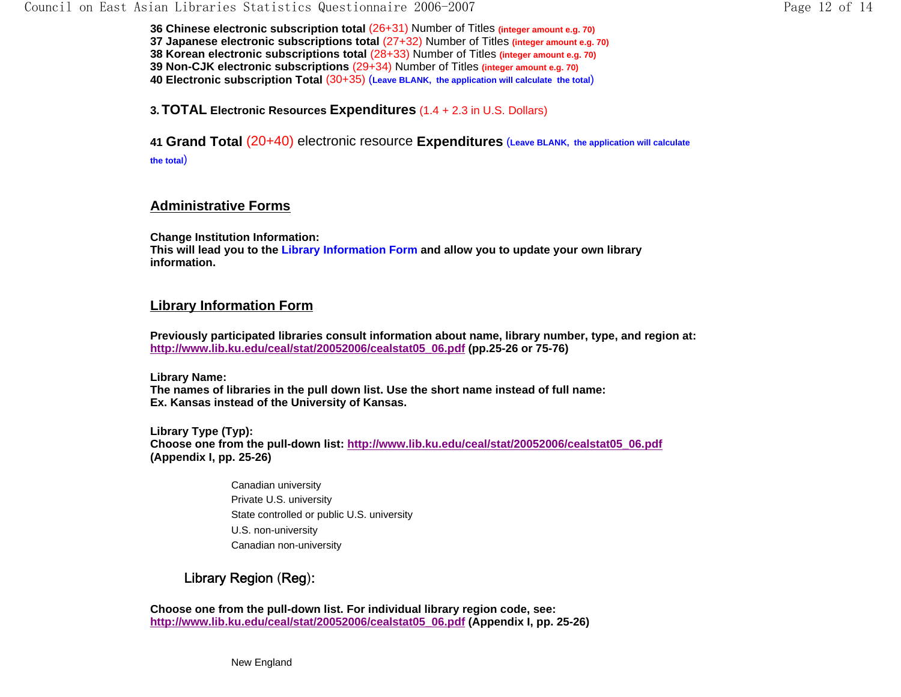**36 Chinese electronic subscription total** (26+31) Number of Titles **(integer amount e.g. 70) 37 Japanese electronic subscriptions total** (27+32) Number of Titles **(integer amount e.g. 70) 38 Korean electronic subscriptions total** (28+33) Number of Titles **(integer amount e.g. 70) 39 Non-CJK electronic subscriptions** (29+34) Number of Titles **(integer amount e.g. 70) 40 Electronic subscription Total** (30+35) (**Leave BLANK, the application will calculate the total**)

**3.TOTAL Electronic Resources Expenditures** (1.4 + 2.3 in U.S. Dollars)

**41 Grand Total** (20+40) electronic resource **Expenditures** (**Leave BLANK, the application will calculate the total**)

## **Administrative Forms**

**Change Institution Information: This will lead you to the Library Information Form and allow you to update your own library information.**

## **Library Information Form**

**Previously participated libraries consult information about name, library number, type, and region at: http://www.lib.ku.edu/ceal/stat/20052006/cealstat05\_06.pdf (pp.25-26 or 75-76)**

**Library Name: The names of libraries in the pull down list. Use the short name instead of full name: Ex. Kansas instead of the University of Kansas.** 

**Library Type (Typ): Choose one from the pull-down list: http://www.lib.ku.edu/ceal/stat/20052006/cealstat05\_06.pdf (Appendix I, pp. 25-26)** 

> Canadian university Private U.S. university State controlled or public U.S. university U.S. non-university Canadian non-university

# Library Region (Reg):

**Choose one from the pull-down list. For individual library region code, see: http://www.lib.ku.edu/ceal/stat/20052006/cealstat05\_06.pdf (Appendix I, pp. 25-26)**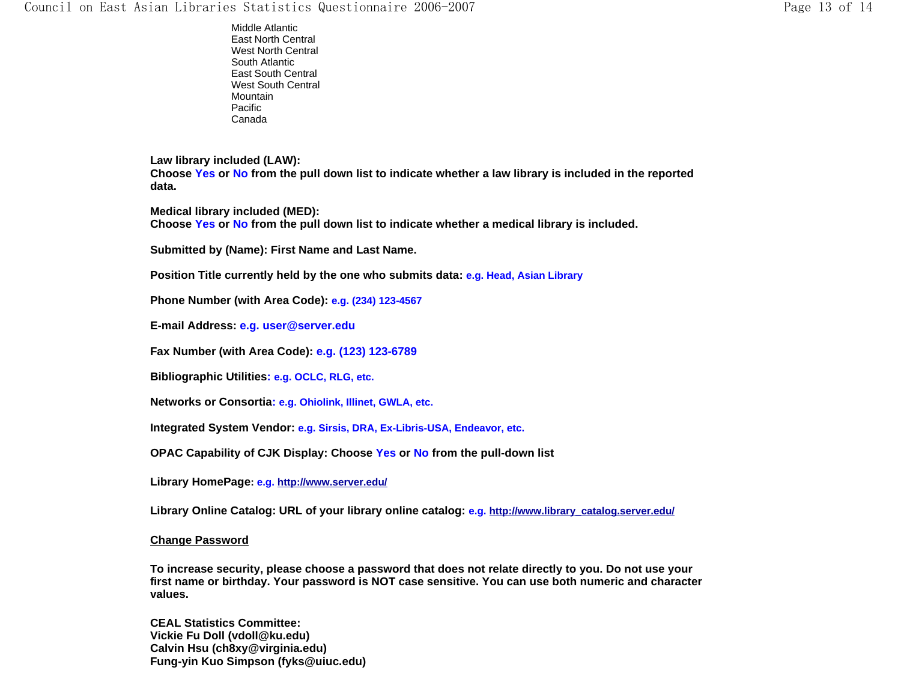Middle Atlantic East North Central West North Central South AtlanticEast South Central West South CentralMountain Pacific Canada

**Law library included (LAW): Choose Yes or No from the pull down list to indicate whether a law library is included in the reported data.** 

**Medical library included (MED):**

**Choose Yes or No from the pull down list to indicate whether a medical library is included.** 

**Submitted by (Name): First Name and Last Name.**

**Position Title currently held by the one who submits data: e.g. Head, Asian Library**

**Phone Number (with Area Code): e.g. (234) 123-4567**

**E-mail Address: e.g. user@server.edu** 

**Fax Number (with Area Code): e.g. (123) 123-6789**

**Bibliographic Utilities: e.g. OCLC, RLG, etc.** 

**Networks or Consortia: e.g. Ohiolink, Illinet, GWLA, etc.**

**Integrated System Vendor: e.g. Sirsis, DRA, Ex-Libris-USA, Endeavor, etc.**

**OPAC Capability of CJK Display: Choose Yes or No from the pull-down list**

**Library HomePage: e.g. http://www.server.edu/**

**Library Online Catalog: URL of your library online catalog: e.g. http://www.library\_catalog.server.edu/**

#### **Change Password**

**To increase security, please choose a password that does not relate directly to you. Do not use your first name or birthday. Your password is NOT case sensitive. You can use both numeric and character values.**

**CEAL Statistics Committee: Vickie Fu Doll (vdoll@ku.edu) Calvin Hsu (ch8xy@virginia.edu) Fung-yin Kuo Simpson (fyks@uiuc.edu)**